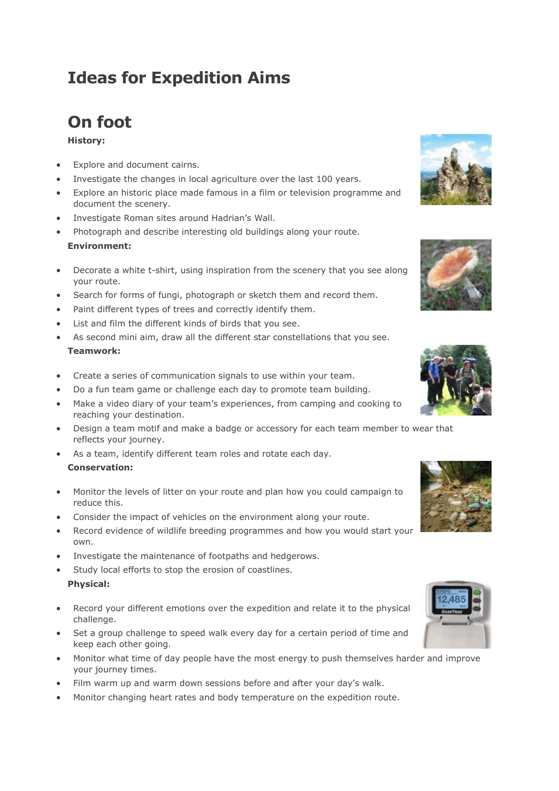# **Ideas for Expedition Aims**

### **On foot**

### **History:**

- Explore and document cairns.
- Investigate the changes in local agriculture over the last 100 years.
- Explore an historic place made famous in a film or television programme and document the scenery.
- Investigate Roman sites around Hadrian's Wall.
- Photograph and describe interesting old buildings along your route. **Environment:**
- Decorate a white t-shirt, using inspiration from the scenery that you see along your route.
- Search for forms of fungi, photograph or sketch them and record them.
- Paint different types of trees and correctly identify them.
- List and film the different kinds of birds that you see.
- As second mini aim, draw all the different star constellations that you see. **Teamwork:**
- Create a series of communication signals to use within your team.
- Do a fun team game or challenge each day to promote team building.
- Make a video diary of your team's experiences, from camping and cooking to reaching your destination.
- Design a team motif and make a badge or accessory for each team member to wear that reflects your journey.
- As a team, identify different team roles and rotate each day. **Conservation:**
- Monitor the levels of litter on your route and plan how you could campaign to reduce this.
- Consider the impact of vehicles on the environment along your route.
- Record evidence of wildlife breeding programmes and how you would start your own.
- Investigate the maintenance of footpaths and hedgerows.
- Study local efforts to stop the erosion of coastlines. **Physical:**
- Record your different emotions over the expedition and relate it to the physical challenge.
- Set a group challenge to speed walk every day for a certain period of time and keep each other going.
- Monitor what time of day people have the most energy to push themselves harder and improve your journey times.
- Film warm up and warm down sessions before and after your day's walk.
- Monitor changing heart rates and body temperature on the expedition route.







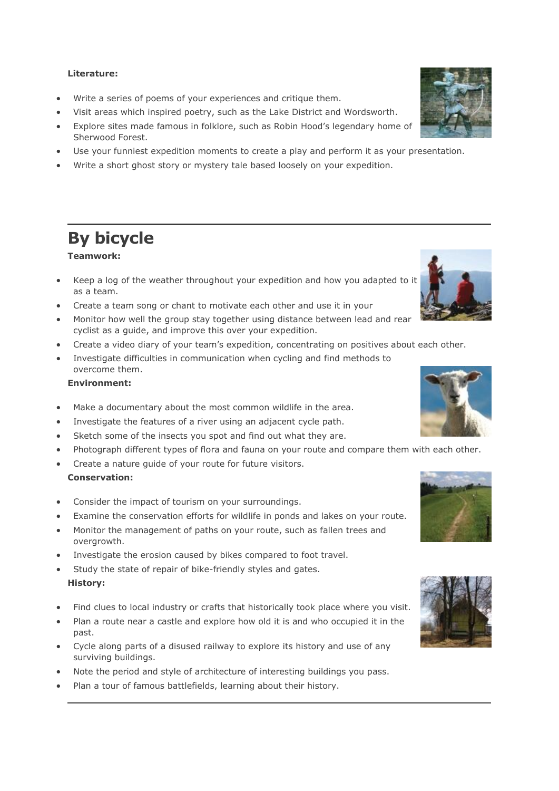#### **Literature:**

- Write a series of poems of your experiences and critique them.
- Visit areas which inspired poetry, such as the Lake District and Wordsworth.
- Explore sites made famous in folklore, such as Robin Hood's legendary home of Sherwood Forest.
- Use your funniest expedition moments to create a play and perform it as your presentation.
- Write a short ghost story or mystery tale based loosely on your expedition.

### **By bicycle**

### **Teamwork:**

- Keep a log of the weather throughout your expedition and how you adapted to it as a team.
- Create a team song or chant to motivate each other and use it in your
- Monitor how well the group stay together using distance between lead and rear cyclist as a guide, and improve this over your expedition.
- Create a video diary of your team's expedition, concentrating on positives about each other.
- Investigate difficulties in communication when cycling and find methods to overcome them.

#### **Environment:**

- Make a documentary about the most common wildlife in the area.
- Investigate the features of a river using an adjacent cycle path.
- Sketch some of the insects you spot and find out what they are.
- Photograph different types of flora and fauna on your route and compare them with each other.
- Create a nature guide of your route for future visitors. **Conservation:**
- Consider the impact of tourism on your surroundings.
- Examine the conservation efforts for wildlife in ponds and lakes on your route.
- Monitor the management of paths on your route, such as fallen trees and overgrowth.
- Investigate the erosion caused by bikes compared to foot travel.
- Study the state of repair of bike-friendly styles and gates. **History:**
- Find clues to local industry or crafts that historically took place where you visit.
- Plan a route near a castle and explore how old it is and who occupied it in the past.
- Cycle along parts of a disused railway to explore its history and use of any surviving buildings.
- Note the period and style of architecture of interesting buildings you pass.
- Plan a tour of famous battlefields, learning about their history.









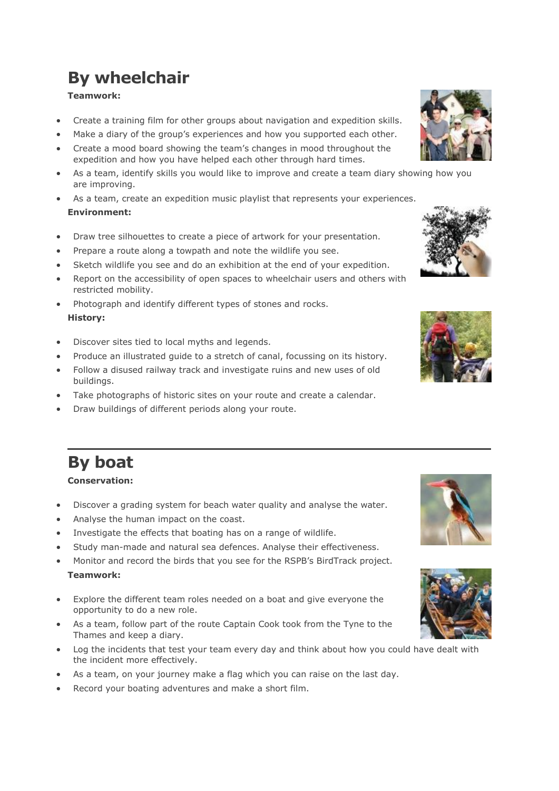# **By wheelchair**

### **Teamwork:**

- Create a training film for other groups about navigation and expedition skills.
- Make a diary of the group's experiences and how you supported each other.
- Create a mood board showing the team's changes in mood throughout the expedition and how you have helped each other through hard times.
- As a team, identify skills you would like to improve and create a team diary showing how you are improving.
- As a team, create an expedition music playlist that represents your experiences. **Environment:**
- Draw tree silhouettes to create a piece of artwork for your presentation.
- Prepare a route along a towpath and note the wildlife you see.
- Sketch wildlife you see and do an exhibition at the end of your expedition.
- Report on the accessibility of open spaces to wheelchair users and others with restricted mobility.
- Photograph and identify different types of stones and rocks. **History:**
- Discover sites tied to local myths and legends.
- Produce an illustrated guide to a stretch of canal, focussing on its history.
- Follow a disused railway track and investigate ruins and new uses of old buildings.
- Take photographs of historic sites on your route and create a calendar.
- Draw buildings of different periods along your route.

# **By boat**

### **Conservation:**

- Discover a grading system for beach water quality and analyse the water.
- Analyse the human impact on the coast.
- Investigate the effects that boating has on a range of wildlife.
- Study man-made and natural sea defences. Analyse their effectiveness.
- Monitor and record the birds that you see for the RSPB's BirdTrack project. **Teamwork:**
- Explore the different team roles needed on a boat and give everyone the opportunity to do a new role.
- As a team, follow part of the route Captain Cook took from the Tyne to the Thames and keep a diary.
- Log the incidents that test your team every day and think about how you could have dealt with the incident more effectively.
- As a team, on your journey make a flag which you can raise on the last day.
- Record your boating adventures and make a short film.









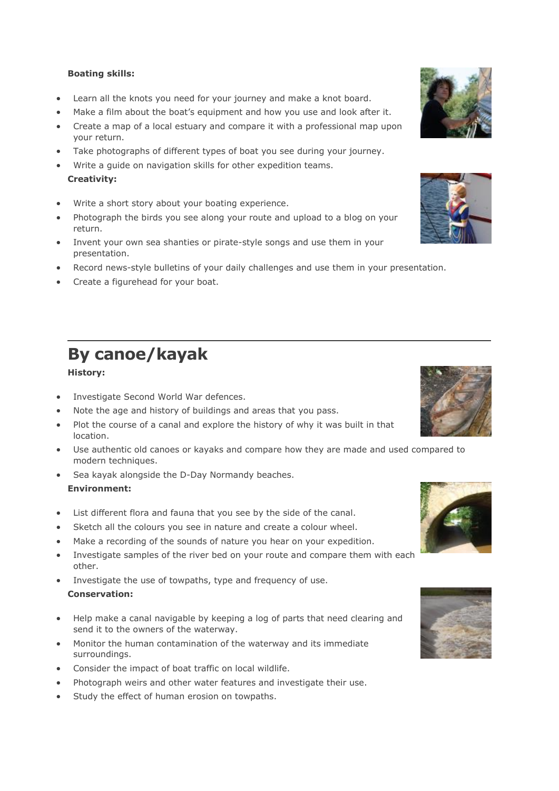### **Boating skills:**

- Learn all the knots you need for your journey and make a knot board.
- Make a film about the boat's equipment and how you use and look after it.
- Create a map of a local estuary and compare it with a professional map upon your return.
- Take photographs of different types of boat you see during your journey.
- Write a guide on navigation skills for other expedition teams. **Creativity:**
- Write a short story about your boating experience.
- Photograph the birds you see along your route and upload to a blog on your return.
- Invent your own sea shanties or pirate-style songs and use them in your presentation.
- Record news-style bulletins of your daily challenges and use them in your presentation.
- Create a figurehead for your boat.

# **By canoe/kayak**

### **History:**

- Investigate Second World War defences.
- Note the age and history of buildings and areas that you pass.
- Plot the course of a canal and explore the history of why it was built in that location.
- Use authentic old canoes or kayaks and compare how they are made and used compared to modern techniques.
- Sea kayak alongside the D-Day Normandy beaches. **Environment:**
- List different flora and fauna that you see by the side of the canal.
- Sketch all the colours you see in nature and create a colour wheel.
- Make a recording of the sounds of nature you hear on your expedition.
- Investigate samples of the river bed on your route and compare them with each other.
- Investigate the use of towpaths, type and frequency of use. **Conservation:**
- Help make a canal navigable by keeping a log of parts that need clearing and send it to the owners of the waterway.
- Monitor the human contamination of the waterway and its immediate surroundings.
- Consider the impact of boat traffic on local wildlife.
- Photograph weirs and other water features and investigate their use.
- Study the effect of human erosion on towpaths.